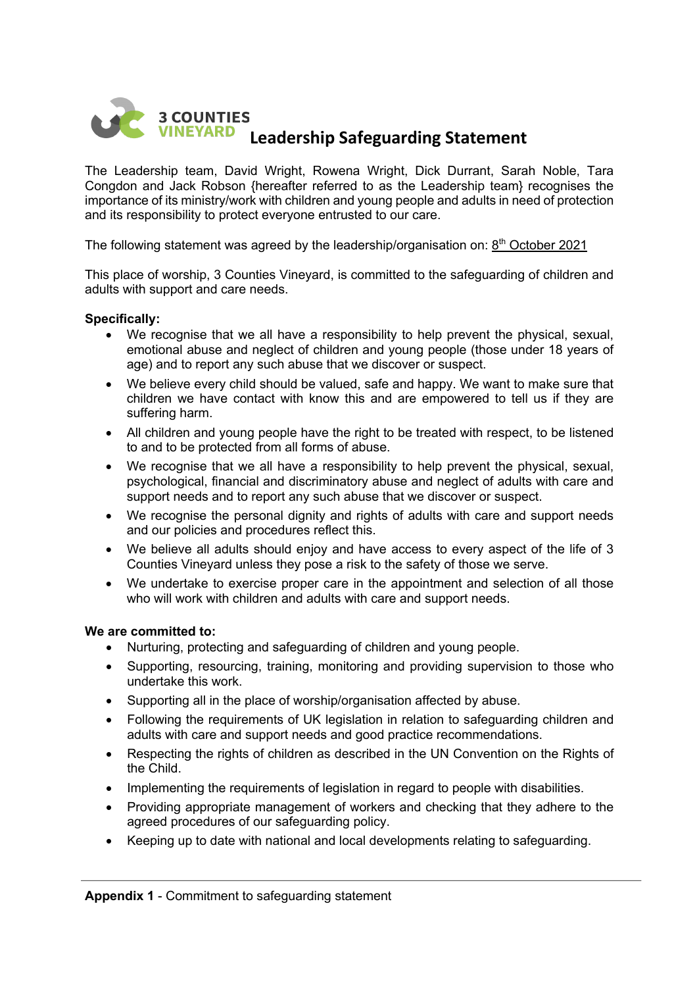

The Leadership team, David Wright, Rowena Wright, Dick Durrant, Sarah Noble, Tara Congdon and Jack Robson {hereafter referred to as the Leadership team} recognises the importance of its ministry/work with children and young people and adults in need of protection and its responsibility to protect everyone entrusted to our care.

The following statement was agreed by the leadership/organisation on:  $8<sup>th</sup>$  October 2021

This place of worship, 3 Counties Vineyard, is committed to the safeguarding of children and adults with support and care needs.

# **Specifically:**

- We recognise that we all have a responsibility to help prevent the physical, sexual, emotional abuse and neglect of children and young people (those under 18 years of age) and to report any such abuse that we discover or suspect.
- We believe every child should be valued, safe and happy. We want to make sure that children we have contact with know this and are empowered to tell us if they are suffering harm.
- All children and young people have the right to be treated with respect, to be listened to and to be protected from all forms of abuse.
- We recognise that we all have a responsibility to help prevent the physical, sexual, psychological, financial and discriminatory abuse and neglect of adults with care and support needs and to report any such abuse that we discover or suspect.
- We recognise the personal dignity and rights of adults with care and support needs and our policies and procedures reflect this.
- We believe all adults should enjoy and have access to every aspect of the life of 3 Counties Vineyard unless they pose a risk to the safety of those we serve.
- We undertake to exercise proper care in the appointment and selection of all those who will work with children and adults with care and support needs.

#### **We are committed to:**

- Nurturing, protecting and safeguarding of children and young people.
- Supporting, resourcing, training, monitoring and providing supervision to those who undertake this work.
- Supporting all in the place of worship/organisation affected by abuse.
- Following the requirements of UK legislation in relation to safeguarding children and adults with care and support needs and good practice recommendations.
- Respecting the rights of children as described in the UN Convention on the Rights of the Child.
- Implementing the requirements of legislation in regard to people with disabilities.
- Providing appropriate management of workers and checking that they adhere to the agreed procedures of our safeguarding policy.
- Keeping up to date with national and local developments relating to safeguarding.